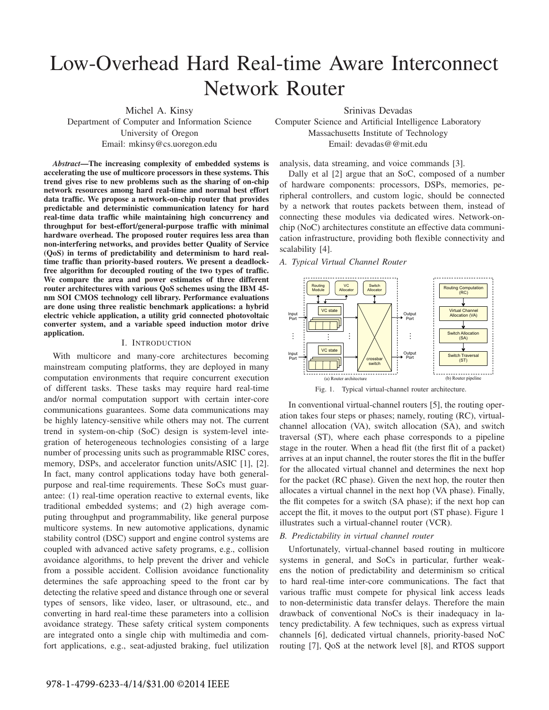# Low-Overhead Hard Real-time Aware Interconnect Network Router

Michel A. Kinsy Department of Computer and Information Science University of Oregon Email: mkinsy@cs.uoregon.edu

*Abstract*—The increasing complexity of embedded systems is accelerating the use of multicore processors in these systems. This trend gives rise to new problems such as the sharing of on-chip network resources among hard real-time and normal best effort data traffic. We propose a network-on-chip router that provides predictable and deterministic communication latency for hard real-time data traffic while maintaining high concurrency and throughput for best-effort/general-purpose traffic with minimal hardware overhead. The proposed router requires less area than non-interfering networks, and provides better Quality of Service (QoS) in terms of predictability and determinism to hard realtime traffic than priority-based routers. We present a deadlockfree algorithm for decoupled routing of the two types of traffic. We compare the area and power estimates of three different router architectures with various QoS schemes using the IBM 45 nm SOI CMOS technology cell library. Performance evaluations are done using three realistic benchmark applications: a hybrid electric vehicle application, a utility grid connected photovoltaic converter system, and a variable speed induction motor drive application.

#### I. INTRODUCTION

With multicore and many-core architectures becoming mainstream computing platforms, they are deployed in many computation environments that require concurrent execution of different tasks. These tasks may require hard real-time and/or normal computation support with certain inter-core communications guarantees. Some data communications may be highly latency-sensitive while others may not. The current trend in system-on-chip (SoC) design is system-level integration of heterogeneous technologies consisting of a large number of processing units such as programmable RISC cores, memory, DSPs, and accelerator function units/ASIC [1], [2]. In fact, many control applications today have both generalpurpose and real-time requirements. These SoCs must guarantee: (1) real-time operation reactive to external events, like traditional embedded systems; and (2) high average computing throughput and programmability, like general purpose multicore systems. In new automotive applications, dynamic stability control (DSC) support and engine control systems are coupled with advanced active safety programs, e.g., collision avoidance algorithms, to help prevent the driver and vehicle from a possible accident. Collision avoidance functionality determines the safe approaching speed to the front car by detecting the relative speed and distance through one or several types of sensors, like video, laser, or ultrasound, etc., and converting in hard real-time these parameters into a collision avoidance strategy. These safety critical system components are integrated onto a single chip with multimedia and comfort applications, e.g., seat-adjusted braking, fuel utilization

Srinivas Devadas Computer Science and Artificial Intelligence Laboratory Massachusetts Institute of Technology Email: devadas@@mit.edu

analysis, data streaming, and voice commands [3].

Dally et al [2] argue that an SoC, composed of a number of hardware components: processors, DSPs, memories, peripheral controllers, and custom logic, should be connected by a network that routes packets between them, instead of connecting these modules via dedicated wires. Network-onchip (NoC) architectures constitute an effective data communication infrastructure, providing both flexible connectivity and scalability [4].

# *A. Typical Virtual Channel Router*



In conventional virtual-channel routers [5], the routing operation takes four steps or phases; namely, routing (RC), virtualchannel allocation (VA), switch allocation (SA), and switch traversal (ST), where each phase corresponds to a pipeline stage in the router. When a head flit (the first flit of a packet) arrives at an input channel, the router stores the flit in the buffer for the allocated virtual channel and determines the next hop for the packet (RC phase). Given the next hop, the router then allocates a virtual channel in the next hop (VA phase). Finally, the flit competes for a switch (SA phase); if the next hop can accept the flit, it moves to the output port (ST phase). Figure 1 illustrates such a virtual-channel router (VCR).

# *B. Predictability in virtual channel router*

Unfortunately, virtual-channel based routing in multicore systems in general, and SoCs in particular, further weakens the notion of predictability and determinism so critical to hard real-time inter-core communications. The fact that various traffic must compete for physical link access leads to non-deterministic data transfer delays. Therefore the main drawback of conventional NoCs is their inadequacy in latency predictability. A few techniques, such as express virtual channels [6], dedicated virtual channels, priority-based NoC routing [7], QoS at the network level [8], and RTOS support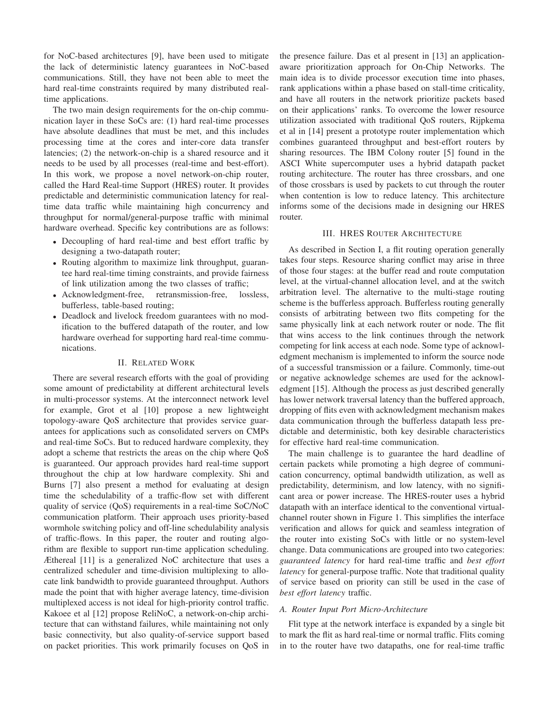for NoC-based architectures [9], have been used to mitigate the lack of deterministic latency guarantees in NoC-based communications. Still, they have not been able to meet the hard real-time constraints required by many distributed realtime applications.

The two main design requirements for the on-chip communication layer in these SoCs are: (1) hard real-time processes have absolute deadlines that must be met, and this includes processing time at the cores and inter-core data transfer latencies; (2) the network-on-chip is a shared resource and it needs to be used by all processes (real-time and best-effort). In this work, we propose a novel network-on-chip router, called the Hard Real-time Support (HRES) router. It provides predictable and deterministic communication latency for realtime data traffic while maintaining high concurrency and throughput for normal/general-purpose traffic with minimal hardware overhead. Specific key contributions are as follows:

- Decoupling of hard real-time and best effort traffic by designing a two-datapath router;
- Routing algorithm to maximize link throughput, guarantee hard real-time timing constraints, and provide fairness of link utilization among the two classes of traffic;
- Acknowledgment-free, retransmission-free, lossless, bufferless, table-based routing;
- Deadlock and livelock freedom guarantees with no modification to the buffered datapath of the router, and low hardware overhead for supporting hard real-time communications.

# II. RELATED WORK

There are several research efforts with the goal of providing some amount of predictability at different architectural levels in multi-processor systems. At the interconnect network level for example, Grot et al [10] propose a new lightweight topology-aware QoS architecture that provides service guarantees for applications such as consolidated servers on CMPs and real-time SoCs. But to reduced hardware complexity, they adopt a scheme that restricts the areas on the chip where QoS is guaranteed. Our approach provides hard real-time support throughout the chip at low hardware complexity. Shi and Burns [7] also present a method for evaluating at design time the schedulability of a traffic-flow set with different quality of service (QoS) requirements in a real-time SoC/NoC communication platform. Their approach uses priority-based wormhole switching policy and off-line schedulability analysis of traffic-flows. In this paper, the router and routing algorithm are flexible to support run-time application scheduling. Æthereal [11] is a generalized NoC architecture that uses a centralized scheduler and time-division multiplexing to allocate link bandwidth to provide guaranteed throughput. Authors made the point that with higher average latency, time-division multiplexed access is not ideal for high-priority control traffic. Kakoee et al [12] propose ReliNoC, a network-on-chip architecture that can withstand failures, while maintaining not only basic connectivity, but also quality-of-service support based on packet priorities. This work primarily focuses on QoS in

the presence failure. Das et al present in [13] an applicationaware prioritization approach for On-Chip Networks. The main idea is to divide processor execution time into phases, rank applications within a phase based on stall-time criticality, and have all routers in the network prioritize packets based on their applications' ranks. To overcome the lower resource utilization associated with traditional QoS routers, Rijpkema et al in [14] present a prototype router implementation which combines guaranteed throughput and best-effort routers by sharing resources. The IBM Colony router [5] found in the ASCI White supercomputer uses a hybrid datapath packet routing architecture. The router has three crossbars, and one of those crossbars is used by packets to cut through the router when contention is low to reduce latency. This architecture informs some of the decisions made in designing our HRES router.

#### III. HRES ROUTER ARCHITECTURE

As described in Section I, a flit routing operation generally takes four steps. Resource sharing conflict may arise in three of those four stages: at the buffer read and route computation level, at the virtual-channel allocation level, and at the switch arbitration level. The alternative to the multi-stage routing scheme is the bufferless approach. Bufferless routing generally consists of arbitrating between two flits competing for the same physically link at each network router or node. The flit that wins access to the link continues through the network competing for link access at each node. Some type of acknowledgment mechanism is implemented to inform the source node of a successful transmission or a failure. Commonly, time-out or negative acknowledge schemes are used for the acknowledgment [15]. Although the process as just described generally has lower network traversal latency than the buffered approach, dropping of flits even with acknowledgment mechanism makes data communication through the bufferless datapath less predictable and deterministic, both key desirable characteristics for effective hard real-time communication.

The main challenge is to guarantee the hard deadline of certain packets while promoting a high degree of communication concurrency, optimal bandwidth utilization, as well as predictability, determinism, and low latency, with no significant area or power increase. The HRES-router uses a hybrid datapath with an interface identical to the conventional virtualchannel router shown in Figure 1. This simplifies the interface verification and allows for quick and seamless integration of the router into existing SoCs with little or no system-level change. Data communications are grouped into two categories: *guaranteed latency* for hard real-time traffic and *best effort latency* for general-purpose traffic. Note that traditional quality of service based on priority can still be used in the case of *best effort latency* traffic.

## *A. Router Input Port Micro-Architecture*

Flit type at the network interface is expanded by a single bit to mark the flit as hard real-time or normal traffic. Flits coming in to the router have two datapaths, one for real-time traffic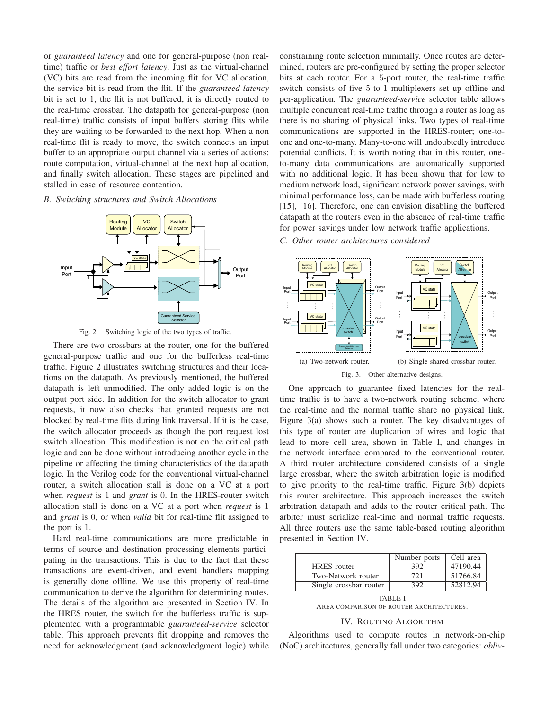or *guaranteed latency* and one for general-purpose (non realtime) traffic or *best effort latency*. Just as the virtual-channel (VC) bits are read from the incoming flit for VC allocation, the service bit is read from the flit. If the *guaranteed latency* bit is set to 1, the flit is not buffered, it is directly routed to the real-time crossbar. The datapath for general-purpose (non real-time) traffic consists of input buffers storing flits while they are waiting to be forwarded to the next hop. When a non real-time flit is ready to move, the switch connects an input buffer to an appropriate output channel via a series of actions: route computation, virtual-channel at the next hop allocation, and finally switch allocation. These stages are pipelined and stalled in case of resource contention.

#### *B. Switching structures and Switch Allocations*



Fig. 2. Switching logic of the two types of traffic.

There are two crossbars at the router, one for the buffered general-purpose traffic and one for the bufferless real-time traffic. Figure 2 illustrates switching structures and their locations on the datapath. As previously mentioned, the buffered datapath is left unmodified. The only added logic is on the output port side. In addition for the switch allocator to grant requests, it now also checks that granted requests are not blocked by real-time flits during link traversal. If it is the case, the switch allocator proceeds as though the port request lost switch allocation. This modification is not on the critical path logic and can be done without introducing another cycle in the pipeline or affecting the timing characteristics of the datapath logic. In the Verilog code for the conventional virtual-channel router, a switch allocation stall is done on a VC at a port when *request* is 1 and *grant* is 0. In the HRES-router switch allocation stall is done on a VC at a port when *request* is 1 and *grant* is 0, or when *valid* bit for real-time flit assigned to the port is 1.

Hard real-time communications are more predictable in terms of source and destination processing elements participating in the transactions. This is due to the fact that these transactions are event-driven, and event handlers mapping is generally done offline. We use this property of real-time communication to derive the algorithm for determining routes. The details of the algorithm are presented in Section IV. In the HRES router, the switch for the bufferless traffic is supplemented with a programmable *guaranteed-service* selector table. This approach prevents flit dropping and removes the need for acknowledgment (and acknowledgment logic) while

constraining route selection minimally. Once routes are determined, routers are pre-configured by setting the proper selector bits at each router. For a 5-port router, the real-time traffic switch consists of five 5-to-1 multiplexers set up offline and per-application. The *guaranteed-service* selector table allows multiple concurrent real-time traffic through a router as long as there is no sharing of physical links. Two types of real-time communications are supported in the HRES-router; one-toone and one-to-many. Many-to-one will undoubtedly introduce potential conflicts. It is worth noting that in this router, oneto-many data communications are automatically supported with no additional logic. It has been shown that for low to medium network load, significant network power savings, with minimal performance loss, can be made with bufferless routing [15], [16]. Therefore, one can envision disabling the buffered datapath at the routers even in the absence of real-time traffic for power savings under low network traffic applications.

*C. Other router architectures considered*



One approach to guarantee fixed latencies for the realtime traffic is to have a two-network routing scheme, where the real-time and the normal traffic share no physical link. Figure 3(a) shows such a router. The key disadvantages of this type of router are duplication of wires and logic that lead to more cell area, shown in Table I, and changes in the network interface compared to the conventional router. A third router architecture considered consists of a single large crossbar, where the switch arbitration logic is modified to give priority to the real-time traffic. Figure 3(b) depicts this router architecture. This approach increases the switch arbitration datapath and adds to the router critical path. The arbiter must serialize real-time and normal traffic requests. All three routers use the same table-based routing algorithm presented in Section IV.

|                        | Number ports | Cell area |
|------------------------|--------------|-----------|
| <b>HRES</b> router     | 392          | 47190.44  |
| Two-Network router     | 721          | 51766.84  |
| Single crossbar router | 392          | 52812.94  |
|                        |              |           |

TABLE I AREA COMPARISON OF ROUTER ARCHITECTURES.

#### IV. ROUTING ALGORITHM

Algorithms used to compute routes in network-on-chip (NoC) architectures, generally fall under two categories: *obliv-*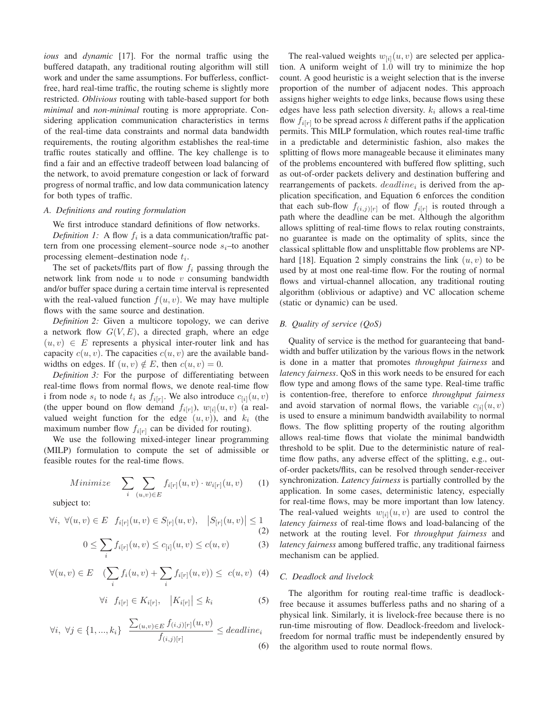*ious* and *dynamic* [17]. For the normal traffic using the buffered datapath, any traditional routing algorithm will still work and under the same assumptions. For bufferless, conflictfree, hard real-time traffic, the routing scheme is slightly more restricted. *Oblivious* routing with table-based support for both *minimal* and *non-minimal* routing is more appropriate. Considering application communication characteristics in terms of the real-time data constraints and normal data bandwidth requirements, the routing algorithm establishes the real-time traffic routes statically and offline. The key challenge is to find a fair and an effective tradeoff between load balancing of the network, to avoid premature congestion or lack of forward progress of normal traffic, and low data communication latency for both types of traffic.

#### *A. Definitions and routing formulation*

We first introduce standard definitions of flow networks.

*Definition 1:* A flow  $f_i$  is a data communication/traffic pattern from one processing element–source node  $s_i$ –to another processing element-destination node  $t_i$ .

The set of packets/flits part of flow  $f_i$  passing through the network link from node  $u$  to node  $v$  consuming bandwidth and/or buffer space during a certain time interval is represented with the real-valued function  $f(u, v)$ . We may have multiple flows with the same source and destination.

*Definition 2:* Given a multicore topology, we can derive a network flow  $G(V, E)$ , a directed graph, where an edge  $(u, v) \in E$  represents a physical inter-router link and has capacity  $c(u, v)$ . The capacities  $c(u, v)$  are the available bandwidths on edges. If  $(u, v) \notin E$ , then  $c(u, v) = 0$ .

*Definition 3:* For the purpose of differentiating between real-time flows from normal flows, we denote real-time flow i from node  $s_i$  to node  $t_i$  as  $f_{i[r]}$ . We also introduce  $c_{[i]}(u, v)$ (the upper bound on flow demand  $f_{i[r]}$ ),  $w_{[i]}(u, v)$  (a realvalued weight function for the edge  $(u, v)$ ), and  $k_i$  (the maximum number flow  $f_{i[r]}$  can be divided for routing).

We use the following mixed-integer linear programming (MILP) formulation to compute the set of admissible or feasible routes for the real-time flows.

$$
Minimize \quad \sum_{i} \sum_{(u,v)\in E} f_{i[r]}(u,v) \cdot w_{i[r]}(u,v) \qquad (1)
$$

subject to:

$$
\forall i, \ \forall (u, v) \in E \ f_{i[r]}(u, v) \in S_{[r]}(u, v), \quad |S_{[r]}(u, v)| \le 1
$$
\n(2)

$$
0 \le \sum_{i} f_{i[r]}(u,v) \le c_{[i]}(u,v) \le c(u,v) \tag{3}
$$

$$
\forall (u,v) \in E \quad (\sum_i f_i(u,v) + \sum_i f_{i[r]}(u,v)) \leq c(u,v) \quad (4)
$$

$$
\forall i \ \ f_{i[r]} \in K_{i[r]}, \ \ |K_{i[r]}| \le k_i \tag{5}
$$

$$
\forall i, \ \forall j \in \{1, ..., k_i\} \quad \frac{\sum_{(u,v) \in E} f_{(i,j)}[r]}{f_{(i,j)}[r]} \leq deadline_i
$$
\n
$$
(6)
$$

The real-valued weights  $w_{[i]}(u, v)$  are selected per application. A uniform weight of 1.0 will try to minimize the hop count. A good heuristic is a weight selection that is the inverse proportion of the number of adjacent nodes. This approach assigns higher weights to edge links, because flows using these edges have less path selection diversity.  $k_i$  allows a real-time flow  $f_{i[r]}$  to be spread across k different paths if the application permits. This MILP formulation, which routes real-time traffic in a predictable and deterministic fashion, also makes the splitting of flows more manageable because it eliminates many of the problems encountered with buffered flow splitting, such as out-of-order packets delivery and destination buffering and rearrangements of packets.  $deadline_i$  is derived from the application specification, and Equation 6 enforces the condition that each sub-flow  $f_{(i,j)[r]}$  of flow  $f_{i[r]}$  is routed through a path where the deadline can be met. Although the algorithm allows splitting of real-time flows to relax routing constraints, no guarantee is made on the optimality of splits, since the classical splittable flow and unsplittable flow problems are NPhard [18]. Equation 2 simply constrains the link  $(u, v)$  to be used by at most one real-time flow. For the routing of normal flows and virtual-channel allocation, any traditional routing algorithm (oblivious or adaptive) and VC allocation scheme (static or dynamic) can be used.

# *B. Quality of service (QoS)*

Quality of service is the method for guaranteeing that bandwidth and buffer utilization by the various flows in the network is done in a matter that promotes *throughput fairness* and *latency fairness*. QoS in this work needs to be ensured for each flow type and among flows of the same type. Real-time traffic is contention-free, therefore to enforce *throughput fairness* and avoid starvation of normal flows, the variable  $c_{[i]}(u, v)$ is used to ensure a minimum bandwidth availability to normal flows. The flow splitting property of the routing algorithm allows real-time flows that violate the minimal bandwidth threshold to be split. Due to the deterministic nature of realtime flow paths, any adverse effect of the splitting, e.g., outof-order packets/flits, can be resolved through sender-receiver synchronization. *Latency fairness* is partially controlled by the application. In some cases, deterministic latency, especially for real-time flows, may be more important than low latency. The real-valued weights  $w_{[i]}(u, v)$  are used to control the *latency fairness* of real-time flows and load-balancing of the network at the routing level. For *throughput fairness* and *latency fairness* among buffered traffic, any traditional fairness mechanism can be applied.

## *C. Deadlock and livelock*

The algorithm for routing real-time traffic is deadlockfree because it assumes bufferless paths and no sharing of a physical link. Similarly, it is livelock-free because there is no run-time misrouting of flow. Deadlock-freedom and livelockfreedom for normal traffic must be independently ensured by the algorithm used to route normal flows.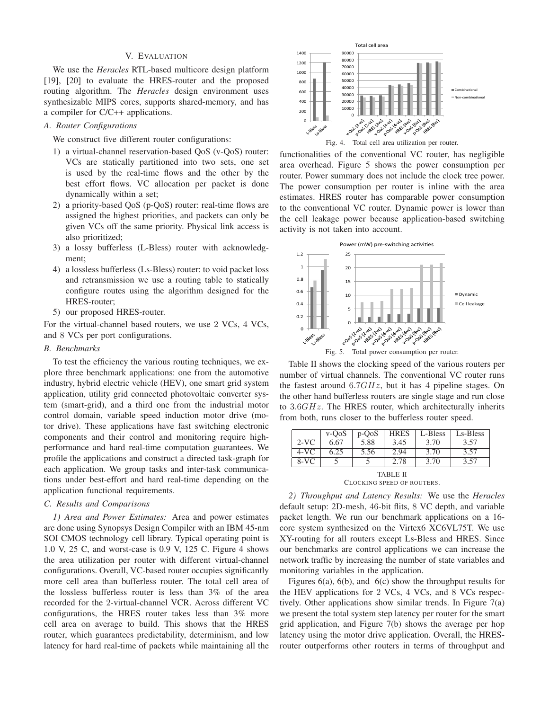#### V. EVALUATION

We use the *Heracles* RTL-based multicore design platform [19], [20] to evaluate the HRES-router and the proposed routing algorithm. The *Heracles* design environment uses synthesizable MIPS cores, supports shared-memory, and has a compiler for C/C++ applications.

# *A. Router Configurations*

We construct five different router configurations:

- 1) a virtual-channel reservation-based QoS (v-QoS) router: VCs are statically partitioned into two sets, one set is used by the real-time flows and the other by the best effort flows. VC allocation per packet is done dynamically within a set;
- 2) a priority-based QoS (p-QoS) router: real-time flows are assigned the highest priorities, and packets can only be given VCs off the same priority. Physical link access is also prioritized;
- 3) a lossy bufferless (L-Bless) router with acknowledgment;
- 4) a lossless bufferless (Ls-Bless) router: to void packet loss and retransmission we use a routing table to statically configure routes using the algorithm designed for the HRES-router;
- 5) our proposed HRES-router.

For the virtual-channel based routers, we use 2 VCs, 4 VCs, and 8 VCs per port configurations.

# *B. Benchmarks*

To test the efficiency the various routing techniques, we explore three benchmark applications: one from the automotive industry, hybrid electric vehicle (HEV), one smart grid system application, utility grid connected photovoltaic converter system (smart-grid), and a third one from the industrial motor control domain, variable speed induction motor drive (motor drive). These applications have fast switching electronic components and their control and monitoring require highperformance and hard real-time computation guarantees. We profile the applications and construct a directed task-graph for each application. We group tasks and inter-task communications under best-effort and hard real-time depending on the application functional requirements.

# *C. Results and Comparisons*

*1) Area and Power Estimates:* Area and power estimates are done using Synopsys Design Compiler with an IBM 45-nm SOI CMOS technology cell library. Typical operating point is 1.0 V, 25 C, and worst-case is 0.9 V, 125 C. Figure 4 shows the area utilization per router with different virtual-channel configurations. Overall, VC-based router occupies significantly more cell area than bufferless router. The total cell area of the lossless bufferless router is less than 3% of the area recorded for the 2-virtual-channel VCR. Across different VC configurations, the HRES router takes less than 3% more cell area on average to build. This shows that the HRES router, which guarantees predictability, determinism, and low latency for hard real-time of packets while maintaining all the



Fig. 4. Total cell area utilization per router.

functionalities of the conventional VC router, has negligible area overhead. Figure 5 shows the power consumption per router. Power summary does not include the clock tree power. The power consumption per router is inline with the area estimates. HRES router has comparable power consumption to the conventional VC router. Dynamic power is lower than the cell leakage power because application-based switching activity is not taken into account.



Table II shows the clocking speed of the various routers per number of virtual channels. The conventional VC router runs the fastest around  $6.7GHz$ , but it has 4 pipeline stages. On the other hand bufferless routers are single stage and run close to 3.6GHz. The HRES router, which architecturally inherits from both, runs closer to the bufferless router speed.

|                 | $v$ -OoS | $p-OoS$ | <b>HRES</b> | L-Bless | Ls-Bless |  |
|-----------------|----------|---------|-------------|---------|----------|--|
| $2-VC$          | 6.67     | 5.88    | 3.45        | 3.70    | 3.57     |  |
| $4-VC$          | 6.25     | 5.56    | 2.94        | 3.70    | 3.57     |  |
| $8-VC$          |          |         | 2.78        | 3.70    | 3.57     |  |
| <b>TABLE II</b> |          |         |             |         |          |  |

CLOCKING SPEED OF ROUTERS.

*2) Throughput and Latency Results:* We use the *Heracles* default setup: 2D-mesh, 46-bit flits, 8 VC depth, and variable packet length. We run our benchmark applications on a 16 core system synthesized on the Virtex6 XC6VL75T. We use XY-routing for all routers except Ls-Bless and HRES. Since our benchmarks are control applications we can increase the network traffic by increasing the number of state variables and monitoring variables in the application.

Figures 6(a), 6(b), and 6(c) show the throughput results for the HEV applications for 2 VCs, 4 VCs, and 8 VCs respectively. Other applications show similar trends. In Figure 7(a) we present the total system step latency per router for the smart grid application, and Figure 7(b) shows the average per hop latency using the motor drive application. Overall, the HRESrouter outperforms other routers in terms of throughput and